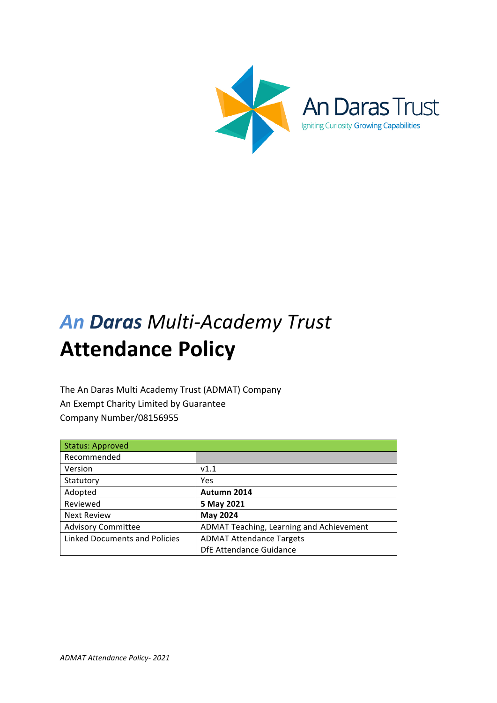

# *An Daras Multi-Academy Trust* **Attendance Policy**

The An Daras Multi Academy Trust (ADMAT) Company An Exempt Charity Limited by Guarantee Company Number/08156955

| <b>Status: Approved</b>              |                                          |
|--------------------------------------|------------------------------------------|
| Recommended                          |                                          |
| Version                              | V1.1                                     |
| Statutory                            | Yes                                      |
| Adopted                              | Autumn 2014                              |
| Reviewed                             | 5 May 2021                               |
| <b>Next Review</b>                   | May 2024                                 |
| <b>Advisory Committee</b>            | ADMAT Teaching, Learning and Achievement |
| <b>Linked Documents and Policies</b> | <b>ADMAT Attendance Targets</b>          |
|                                      | DfE Attendance Guidance                  |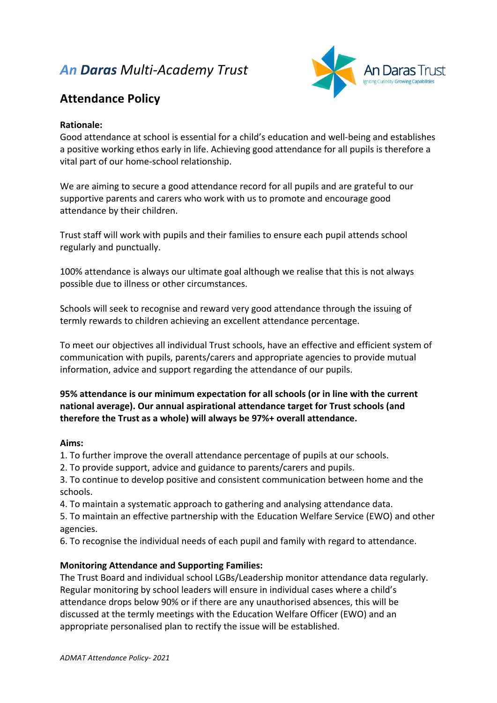## *An Daras Multi-Academy Trust*



### **Attendance Policy**

#### **Rationale:**

Good attendance at school is essential for a child's education and well-being and establishes a positive working ethos early in life. Achieving good attendance for all pupils is therefore a vital part of our home-school relationship.

We are aiming to secure a good attendance record for all pupils and are grateful to our supportive parents and carers who work with us to promote and encourage good attendance by their children.

Trust staff will work with pupils and their families to ensure each pupil attends school regularly and punctually.

100% attendance is always our ultimate goal although we realise that this is not always possible due to illness or other circumstances.

Schools will seek to recognise and reward very good attendance through the issuing of termly rewards to children achieving an excellent attendance percentage.

To meet our objectives all individual Trust schools, have an effective and efficient system of communication with pupils, parents/carers and appropriate agencies to provide mutual information, advice and support regarding the attendance of our pupils.

**95%** attendance is our minimum expectation for all schools (or in line with the current **national average). Our annual aspirational attendance target for Trust schools (and therefore the Trust as a whole) will always be 97%+ overall attendance.** 

#### **Aims:**

1. To further improve the overall attendance percentage of pupils at our schools.

2. To provide support, advice and guidance to parents/carers and pupils.

3. To continue to develop positive and consistent communication between home and the schools.

4. To maintain a systematic approach to gathering and analysing attendance data.

5. To maintain an effective partnership with the Education Welfare Service (EWO) and other agencies. 

6. To recognise the individual needs of each pupil and family with regard to attendance.

#### **Monitoring Attendance and Supporting Families:**

The Trust Board and individual school LGBs/Leadership monitor attendance data regularly. Regular monitoring by school leaders will ensure in individual cases where a child's attendance drops below 90% or if there are any unauthorised absences, this will be discussed at the termly meetings with the Education Welfare Officer (EWO) and an appropriate personalised plan to rectify the issue will be established.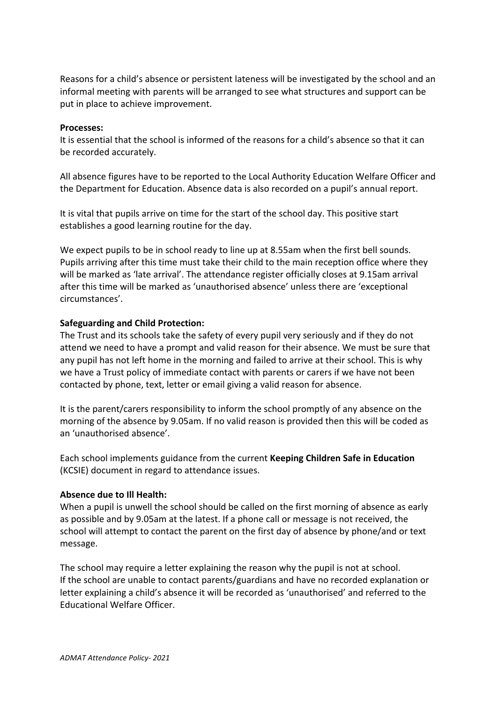Reasons for a child's absence or persistent lateness will be investigated by the school and an informal meeting with parents will be arranged to see what structures and support can be put in place to achieve improvement.

#### **Processes:**

It is essential that the school is informed of the reasons for a child's absence so that it can be recorded accurately.

All absence figures have to be reported to the Local Authority Education Welfare Officer and the Department for Education. Absence data is also recorded on a pupil's annual report.

It is vital that pupils arrive on time for the start of the school day. This positive start establishes a good learning routine for the day.

We expect pupils to be in school ready to line up at 8.55am when the first bell sounds. Pupils arriving after this time must take their child to the main reception office where they will be marked as 'late arrival'. The attendance register officially closes at 9.15am arrival after this time will be marked as 'unauthorised absence' unless there are 'exceptional circumstances'.

#### **Safeguarding and Child Protection:**

The Trust and its schools take the safety of every pupil very seriously and if they do not attend we need to have a prompt and valid reason for their absence. We must be sure that any pupil has not left home in the morning and failed to arrive at their school. This is why we have a Trust policy of immediate contact with parents or carers if we have not been contacted by phone, text, letter or email giving a valid reason for absence.

It is the parent/carers responsibility to inform the school promptly of any absence on the morning of the absence by 9.05am. If no valid reason is provided then this will be coded as an 'unauthorised absence'.

Each school implements guidance from the current **Keeping Children Safe in Education** (KCSIE) document in regard to attendance issues.

#### **Absence due to Ill Health:**

When a pupil is unwell the school should be called on the first morning of absence as early as possible and by 9.05am at the latest. If a phone call or message is not received, the school will attempt to contact the parent on the first day of absence by phone/and or text message.

The school may require a letter explaining the reason why the pupil is not at school. If the school are unable to contact parents/guardians and have no recorded explanation or letter explaining a child's absence it will be recorded as 'unauthorised' and referred to the Educational Welfare Officer.